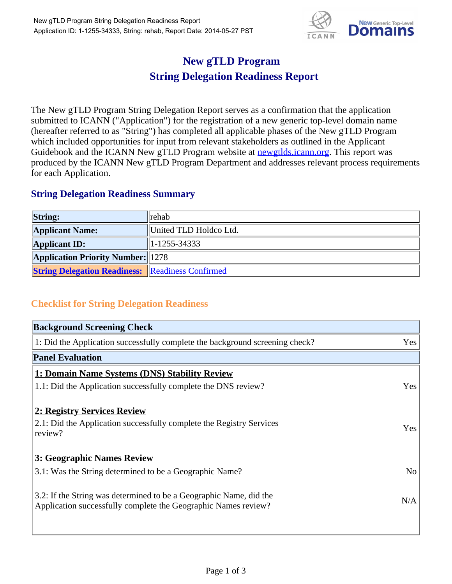

## **New gTLD Program String Delegation Readiness Report**

The New gTLD Program String Delegation Report serves as a confirmation that the application submitted to ICANN ("Application") for the registration of a new generic top-level domain name (hereafter referred to as "String") has completed all applicable phases of the New gTLD Program which included opportunities for input from relevant stakeholders as outlined in the Applicant Guidebook and the ICANN New gTLD Program website at newgtlds.icann.org. This report was produced by the ICANN New gTLD Program Department and addresses relevant process requirements for each Application.

## **String Delegation Readiness Summary**

| <b>String:</b>                                          | <b>Trehab</b>          |
|---------------------------------------------------------|------------------------|
| <b>Applicant Name:</b>                                  | United TLD Holdco Ltd. |
| <b>Applicant ID:</b>                                    | $ 1 - 1255 - 34333 $   |
| <b>Application Priority Number: 1278</b>                |                        |
| <b>String Delegation Readiness: Readiness Confirmed</b> |                        |

## **Checklist for String Delegation Readiness**

| <b>Background Screening Check</b>                                                                                                    |                |
|--------------------------------------------------------------------------------------------------------------------------------------|----------------|
| 1: Did the Application successfully complete the background screening check?                                                         | Yes            |
| <b>Panel Evaluation</b>                                                                                                              |                |
| 1: Domain Name Systems (DNS) Stability Review                                                                                        |                |
| 1.1: Did the Application successfully complete the DNS review?                                                                       | Yes            |
| 2: Registry Services Review<br>2.1: Did the Application successfully complete the Registry Services<br>review?                       | Yes            |
| 3: Geographic Names Review                                                                                                           |                |
| 3.1: Was the String determined to be a Geographic Name?                                                                              | N <sub>o</sub> |
| 3.2: If the String was determined to be a Geographic Name, did the<br>Application successfully complete the Geographic Names review? | N/A            |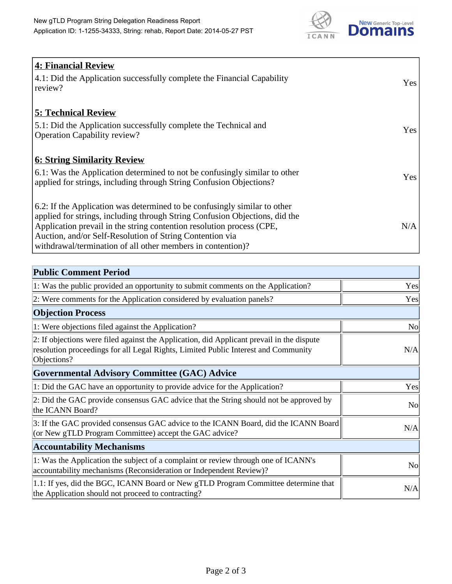

| <b>4: Financial Review</b><br>4.1: Did the Application successfully complete the Financial Capability<br>review?                                                                                                                                                                                                                                             | Yes |
|--------------------------------------------------------------------------------------------------------------------------------------------------------------------------------------------------------------------------------------------------------------------------------------------------------------------------------------------------------------|-----|
| <b>5: Technical Review</b><br>5.1: Did the Application successfully complete the Technical and<br><b>Operation Capability review?</b>                                                                                                                                                                                                                        | Yes |
| <b>6: String Similarity Review</b><br>6.1: Was the Application determined to not be confusingly similar to other<br>applied for strings, including through String Confusion Objections?                                                                                                                                                                      | Yes |
| 6.2: If the Application was determined to be confusingly similar to other<br>applied for strings, including through String Confusion Objections, did the<br>Application prevail in the string contention resolution process (CPE,<br>Auction, and/or Self-Resolution of String Contention via<br>withdrawal/termination of all other members in contention)? | N/A |

| <b>Public Comment Period</b>                                                                                                                                                                   |                |
|------------------------------------------------------------------------------------------------------------------------------------------------------------------------------------------------|----------------|
| 1: Was the public provided an opportunity to submit comments on the Application?                                                                                                               | Yes            |
| 2: Were comments for the Application considered by evaluation panels?                                                                                                                          | Yes            |
| <b>Objection Process</b>                                                                                                                                                                       |                |
| 1: Were objections filed against the Application?                                                                                                                                              | <b>No</b>      |
| 2: If objections were filed against the Application, did Applicant prevail in the dispute<br>resolution proceedings for all Legal Rights, Limited Public Interest and Community<br>Objections? | N/A            |
| <b>Governmental Advisory Committee (GAC) Advice</b>                                                                                                                                            |                |
| 1: Did the GAC have an opportunity to provide advice for the Application?                                                                                                                      | Yes            |
| 2: Did the GAC provide consensus GAC advice that the String should not be approved by<br>the ICANN Board?                                                                                      | N <sub>0</sub> |
| 3: If the GAC provided consensus GAC advice to the ICANN Board, did the ICANN Board<br>(or New gTLD Program Committee) accept the GAC advice?                                                  | N/A            |
| <b>Accountability Mechanisms</b>                                                                                                                                                               |                |
| 1: Was the Application the subject of a complaint or review through one of ICANN's<br>accountability mechanisms (Reconsideration or Independent Review)?                                       | N <sub>0</sub> |
| 1.1: If yes, did the BGC, ICANN Board or New gTLD Program Committee determine that<br>the Application should not proceed to contracting?                                                       | N/A            |